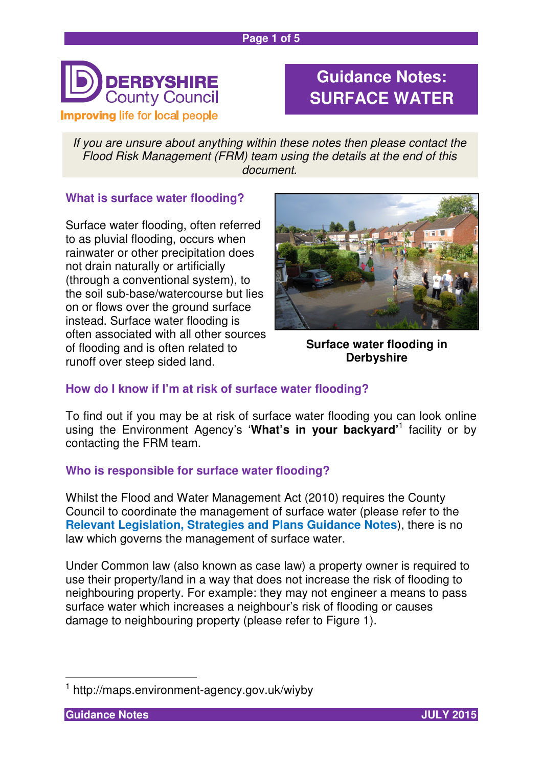

# **Guidance Notes: SURFACE WATER**

If you are unsure about anything within these notes then please contact the Flood Risk Management (FRM) team using the details at the end of this document.

## **What is surface water flooding?**

Surface water flooding, often referred to as pluvial flooding, occurs when rainwater or other precipitation does not drain naturally or artificially (through a conventional system), to the soil sub-base/watercourse but lies on or flows over the ground surface instead. Surface water flooding is often associated with all other sources of flooding and is often related to runoff over steep sided land.



**Surface water flooding in Derbyshire** 

# **How do I know if I'm at risk of surface water flooding?**

To find out if you may be at risk of surface water flooding you can look online using the Environment Agency's '**What's in your backyard'**<sup>1</sup> facility or by contacting the FRM team.

## **Who is responsible for surface water flooding?**

Whilst the Flood and Water Management Act (2010) requires the County Council to coordinate the management of surface water (please refer to the **Relevant Legislation, Strategies and Plans Guidance Notes**), there is no law which governs the management of surface water.

Under Common law (also known as case law) a property owner is required to use their property/land in a way that does not increase the risk of flooding to neighbouring property. For example: they may not engineer a means to pass surface water which increases a neighbour's risk of flooding or causes damage to neighbouring property (please refer to Figure 1).



 $\overline{\phantom{a}}$ 1 http://maps.environment-agency.gov.uk/wiyby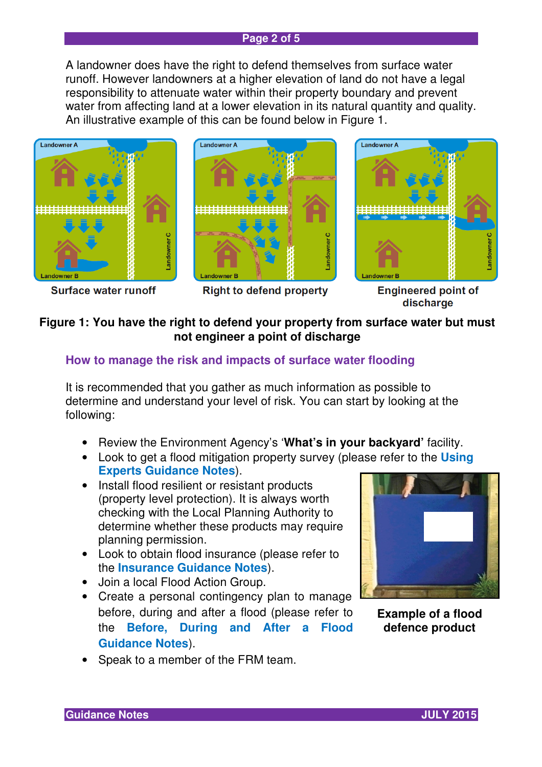#### **Page 2 of 5**

A landowner does have the right to defend themselves from surface water runoff. However landowners at a higher elevation of land do not have a legal responsibility to attenuate water within their property boundary and prevent water from affecting land at a lower elevation in its natural quantity and quality. An illustrative example of this can be found below in Figure 1.



**Surface water runoff** 



**Right to defend property** 



**Engineered point of** discharge

# **Figure 1: You have the right to defend your property from surface water but must not engineer a point of discharge**

## **How to manage the risk and impacts of surface water flooding**

It is recommended that you gather as much information as possible to determine and understand your level of risk. You can start by looking at the following:

- Review the Environment Agency's '**What's in your backyard'** facility.
- Look to get a flood mitigation property survey (please refer to the **Using Experts Guidance Notes**).
- Install flood resilient or resistant products (property level protection). It is always worth checking with the Local Planning Authority to determine whether these products may require planning permission.
- Look to obtain flood insurance (please refer to the **Insurance Guidance Notes**).
- Join a local Flood Action Group.
- Create a personal contingency plan to manage before, during and after a flood (please refer to the **Before, During and After a Flood Guidance Notes**).
- Speak to a member of the FRM team.



**Example of a flood defence product** 

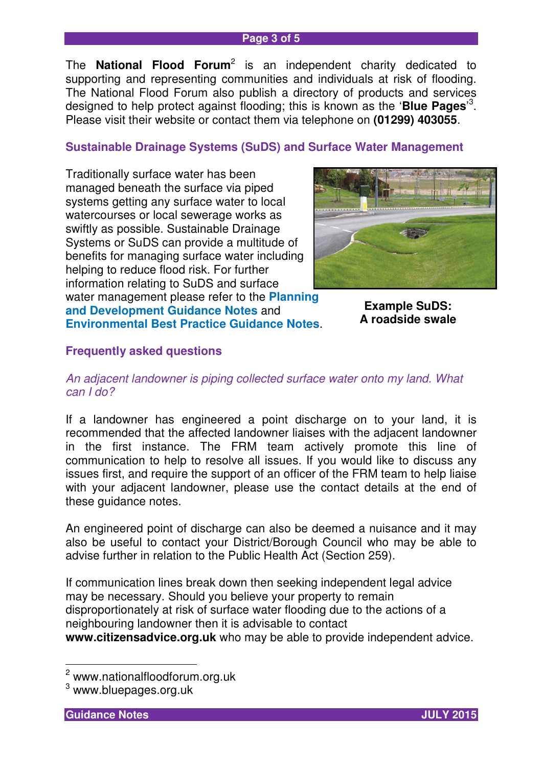#### **Page 3 of 5**

The **National Flood Forum**<sup>2</sup> is an independent charity dedicated to supporting and representing communities and individuals at risk of flooding. The National Flood Forum also publish a directory of products and services designed to help protect against flooding; this is known as the '**Blue Pages**' 3 . Please visit their website or contact them via telephone on **(01299) 403055**.

## **Sustainable Drainage Systems (SuDS) and Surface Water Management**

Traditionally surface water has been managed beneath the surface via piped systems getting any surface water to local watercourses or local sewerage works as swiftly as possible. Sustainable Drainage Systems or SuDS can provide a multitude of benefits for managing surface water including helping to reduce flood risk. For further information relating to SuDS and surface water management please refer to the **Planning** 



**and Development Guidance Notes** and **Environmental Best Practice Guidance Notes**.

**Example SuDS: A roadside swale** 

## **Frequently asked questions**

### An adjacent landowner is piping collected surface water onto my land. What can I do?

If a landowner has engineered a point discharge on to your land, it is recommended that the affected landowner liaises with the adjacent landowner in the first instance. The FRM team actively promote this line of communication to help to resolve all issues. If you would like to discuss any issues first, and require the support of an officer of the FRM team to help liaise with your adjacent landowner, please use the contact details at the end of these guidance notes.

An engineered point of discharge can also be deemed a nuisance and it may also be useful to contact your District/Borough Council who may be able to advise further in relation to the Public Health Act (Section 259).

If communication lines break down then seeking independent legal advice may be necessary. Should you believe your property to remain disproportionately at risk of surface water flooding due to the actions of a neighbouring landowner then it is advisable to contact **www.citizensadvice.org.uk** who may be able to provide independent advice.



 2 www.nationalfloodforum.org.uk

 $^3$  www.bluepages.org.uk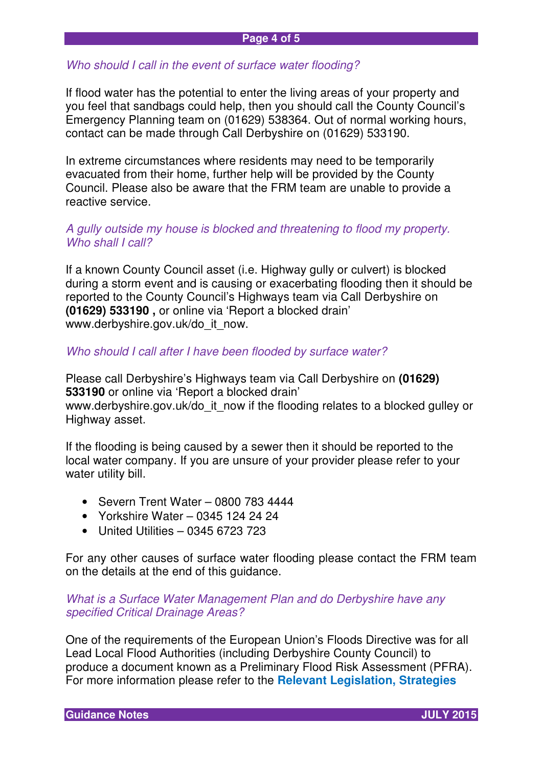#### **Page 4 of 5**

#### Who should I call in the event of surface water flooding?

If flood water has the potential to enter the living areas of your property and you feel that sandbags could help, then you should call the County Council's Emergency Planning team on (01629) 538364. Out of normal working hours, contact can be made through Call Derbyshire on (01629) 533190.

In extreme circumstances where residents may need to be temporarily evacuated from their home, further help will be provided by the County Council. Please also be aware that the FRM team are unable to provide a reactive service.

#### A gully outside my house is blocked and threatening to flood my property. Who shall I call?

If a known County Council asset (i.e. Highway gully or culvert) is blocked during a storm event and is causing or exacerbating flooding then it should be reported to the County Council's Highways team via Call Derbyshire on **(01629) 533190 ,** or online via 'Report a blocked drain' www.derbyshire.gov.uk/do\_it\_now.

#### Who should I call after I have been flooded by surface water?

Please call Derbyshire's Highways team via Call Derbyshire on **(01629) 533190** or online via 'Report a blocked drain' www.derbyshire.gov.uk/do\_it\_now if the flooding relates to a blocked gulley or Highway asset.

If the flooding is being caused by a sewer then it should be reported to the local water company. If you are unsure of your provider please refer to your water utility bill.

- Severn Trent Water 0800 783 4444
- Yorkshire Water 0345 124 24 24
- United Utilities 0345 6723 723

For any other causes of surface water flooding please contact the FRM team on the details at the end of this guidance.

### What is a Surface Water Management Plan and do Derbyshire have any specified Critical Drainage Areas?

One of the requirements of the European Union's Floods Directive was for all Lead Local Flood Authorities (including Derbyshire County Council) to produce a document known as a Preliminary Flood Risk Assessment (PFRA). For more information please refer to the **Relevant Legislation, Strategies**